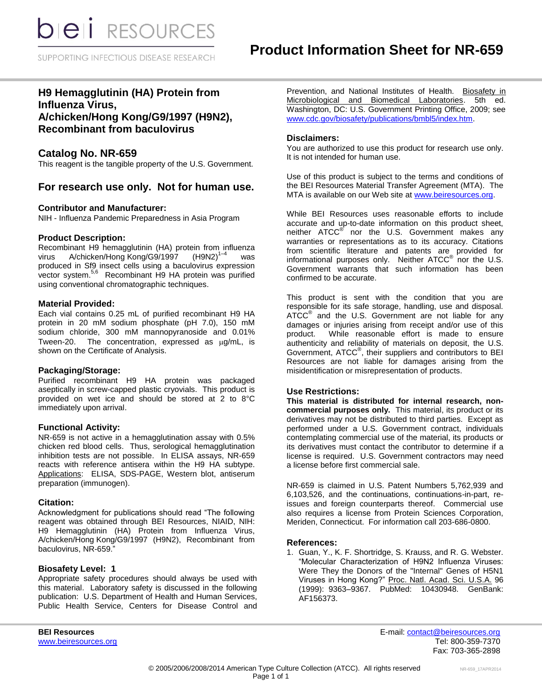**bieli** RESOURCES

SUPPORTING INFECTIOUS DISEASE RESEARCH

# **H9 Hemagglutinin (HA) Protein from Influenza Virus, A/chicken/Hong Kong/G9/1997 (H9N2),**

# **Recombinant from baculovirus**

# **Catalog No. NR-659**

This reagent is the tangible property of the U.S. Government.

# **For research use only. Not for human use.**

### **Contributor and Manufacturer:**

NIH - Influenza Pandemic Preparedness in Asia Program

# **Product Description:**

Recombinant H9 hemagglutinin (HA) protein from influenza virus A/chicken/Hong Kong/G9/1997 (H9N2)<sup>1-4</sup>  $WAS$ produced in Sf9 insect cells using a baculovirus expression vector system.<sup>5,6</sup> Recombinant H9 HA protein was purified using conventional chromatographic techniques.

# **Material Provided:**

Each vial contains 0.25 mL of purified recombinant H9 HA protein in 20 mM sodium phosphate (pH 7.0), 150 mM sodium chloride, 300 mM mannopyranoside and 0.01% Tween-20. The concentration, expressed as  $\mu$ g/mL, is shown on the Certificate of Analysis.

#### **Packaging/Storage:**

Purified recombinant H9 HA protein was packaged aseptically in screw-capped plastic cryovials. This product is provided on wet ice and should be stored at 2 to 8°C immediately upon arrival.

# **Functional Activity:**

NR-659 is not active in a hemagglutination assay with 0.5% chicken red blood cells. Thus, serological hemagglutination inhibition tests are not possible. In ELISA assays, NR-659 reacts with reference antisera within the H9 HA subtype. Applications: ELISA, SDS-PAGE, Western blot, antiserum preparation (immunogen).

#### **Citation:**

Acknowledgment for publications should read "The following reagent was obtained through BEI Resources, NIAID, NIH: H9 Hemagglutinin (HA) Protein from Influenza Virus, A/chicken/Hong Kong/G9/1997 (H9N2), Recombinant from baculovirus, NR-659."

#### **Biosafety Level: 1**

Appropriate safety procedures should always be used with this material. Laboratory safety is discussed in the following publication: U.S. Department of Health and Human Services, Public Health Service, Centers for Disease Control and

Prevention, and National Institutes of Health. Biosafety in Microbiological and Biomedical Laboratories. 5th ed. Washington, DC: U.S. Government Printing Office, 2009; see [www.cdc.gov/biosafety/publications/bmbl5/index.htm.](http://www.cdc.gov/biosafety/publications/bmbl5/index.htm)

### **Disclaimers:**

You are authorized to use this product for research use only. It is not intended for human use.

Use of this product is subject to the terms and conditions of the BEI Resources Material Transfer Agreement (MTA). The MTA is available on our Web site at [www.beiresources.org.](http://www.beiresources.org/)

While BEI Resources uses reasonable efforts to include accurate and up-to-date information on this product sheet, neither ATCC<sup>®</sup> nor the U.S. Government makes any warranties or representations as to its accuracy. Citations from scientific literature and patents are provided for informational purposes only. Neither  $ATCC^{\circledast}$  nor the U.S. Government warrants that such information has been confirmed to be accurate.

This product is sent with the condition that you are responsible for its safe storage, handling, use and disposal. ATCC<sup>®</sup> and the U.S. Government are not liable for any damages or injuries arising from receipt and/or use of this product. While reasonable effort is made to ensure authenticity and reliability of materials on deposit, the U.S. Government, ATCC<sup>®</sup>, their suppliers and contributors to BEI Resources are not liable for damages arising from the misidentification or misrepresentation of products.

#### **Use Restrictions:**

**This material is distributed for internal research, noncommercial purposes only.** This material, its product or its derivatives may not be distributed to third parties. Except as performed under a U.S. Government contract, individuals contemplating commercial use of the material, its products or its derivatives must contact the contributor to determine if a license is required. U.S. Government contractors may need a license before first commercial sale.

NR-659 is claimed in U.S. Patent Numbers 5,762,939 and 6,103,526, and the continuations, continuations-in-part, reissues and foreign counterparts thereof. Commercial use also requires a license from Protein Sciences Corporation, Meriden, Connecticut. For information call 203-686-0800.

#### **References:**

1. Guan, Y., K. F. Shortridge, S. Krauss, and R. G. Webster. "Molecular Characterization of H9N2 Influenza Viruses: Were They the Donors of the "Internal" Genes of H5N1 Viruses in Hong Kong?" Proc. Natl. Acad. Sci. U.S.A. 96 (1999): 9363–9367. PubMed: 10430948. GenBank: AF156373.

**BEI Resources** E-mail: [contact@beiresources.org](mailto:contact@beiresources.org) [www.beiresources.org](http://www.beiresources.org/) **Tel: 800-359-7370** Fax: 703-365-2898